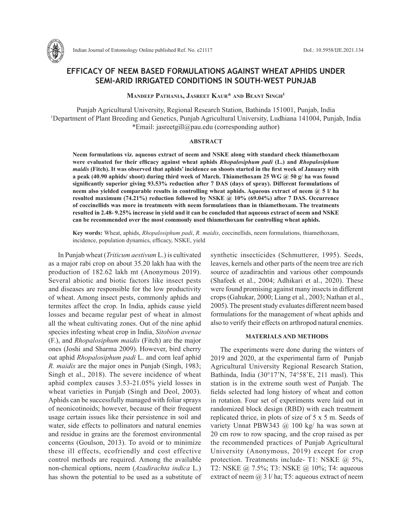

# **EFFICACY OF NEEM BASED FORMULATIONS AGAINST WHEAT APHIDS UNDER SEMI-ARID IRRIGATED CONDITIONS IN SOUTH-WEST PUNJAB**

**Mandeep Pathania, Jasreet Kaur\* and Beant Singh1**

Punjab Agricultural University, Regional Research Station, Bathinda 151001, Punjab, India 1 Department of Plant Breeding and Genetics, Punjab Agricultural University, Ludhiana 141004, Punjab, India \*Email: jasreetgill@pau.edu (corresponding author)

#### **ABSTRACT**

**Neem formulations viz. aqueous extract of neem and NSKE along with standard check thiamethoxam were evaluated for their efficacy against wheat aphids** *Rhopalosiphum padi* **(L.) and** *Rhopalosiphum maidis* **(Fitch). It was observed that aphids' incidence on shoots started in the first week of January with a peak (40.90 aphids/ shoot) during third week of March. Thiamethoxam 25 WG @ 50 g/ ha was found significantly superior giving 93.53% reduction after 7 DAS (days of spray). Different formulations of neem also yielded comparable results in controlling wheat aphids. Aqueous extract of neem @ 5 l/ ha resulted maximum (74.21%) reduction followed by NSKE @ 10% (69.04%) after 7 DAS. Occurrence of coccinellids was more in treatments with neem formulations than in thiamethoxam. The treatments resulted in 2.48- 9.25% increase in yield and it can be concluded that aqueous extract of neem and NSKE can be recommended over the most commonly used thiamethoxam for controlling wheat aphids.**

**Key words:** Wheat, aphids, *Rhopalosiphum padi*, *R. maidis*, coccinellids, neem formulations, thiamethoxam, incidence, population dynamics, efficacy, NSKE, yield

In Punjab wheat (*Triticum aestivum* L.) is cultivated as a major rabi crop on about 35.20 lakh haa with the production of 182.62 lakh mt (Anonymous 2019). Several abiotic and biotic factors like insect pests and diseases are responsible for the low productivity of wheat. Among insect pests, commonly aphids and termites affect the crop. In India, aphids cause yield losses and became regular pest of wheat in almost all the wheat cultivating zones. Out of the nine aphid species infesting wheat crop in India, *Sitobion avenae* (F.), and *Rhopalosiphum maidis* (Fitch) are the major ones (Joshi and Sharma 2009). However, bird cherry oat aphid *Rhopalosiphum padi* L. and corn leaf aphid *R. maidis* are the major ones in Punjab (Singh, 1983; Singh et al., 2018). The severe incidence of wheat aphid complex causes 3.53-21.05% yield losses in wheat varieties in Punjab (Singh and Deol, 2003). Aphids can be successfully managed with foliar sprays of neonicotinoids; however, because of their frequent usage certain issues like their persistence in soil and water, side effects to pollinators and natural enemies and residue in grains are the foremost environmental concerns (Goulson, 2013). To avoid or to minimize these ill effects, ecofriendly and cost effective control methods are required. Among the available non-chemical options, neem (*Azadirachta indica* L.) has shown the potential to be used as a substitute of synthetic insecticides (Schmutterer, 1995). Seeds, leaves, kernels and other parts of the neem tree are rich source of azadirachtin and various other compounds (Shafeek et al., 2004; Adhikari et al., 2020). These were found promising against many insects in different crops (Gahukar, 2000; Liang et al., 2003; Nathan et al., 2005). The present study evaluates different neem based formulations for the management of wheat aphids and also to verify their effects on arthropod natural enemies.

## **MATERIALS AND METHODS**

The experiments were done during the winters of 2019 and 2020, at the experimental farm of Punjab Agricultural University Regional Research Station, Bathinda, India (30°17'N, 74°58'E, 211 masl). This station is in the extreme south west of Punjab. The fields selected had long history of wheat and cotton in rotation. Four set of experiments were laid out in randomized block design (RBD) with each treatment replicated thrice, in plots of size of 5 x 5 m. Seeds of variety Unnat PBW343 @ 100 kg/ ha was sown at 20 cm row to row spacing, and the crop raised as per the recommended practices of Punjab Agricultural University (Anonymous, 2019) except for crop protection. Treatments include- T1: NSKE @ 5%, T2: NSKE @ 7.5%; T3: NSKE @ 10%; T4: aqueous extract of neem  $(a)$  3 l/ ha; T5: aqueous extract of neem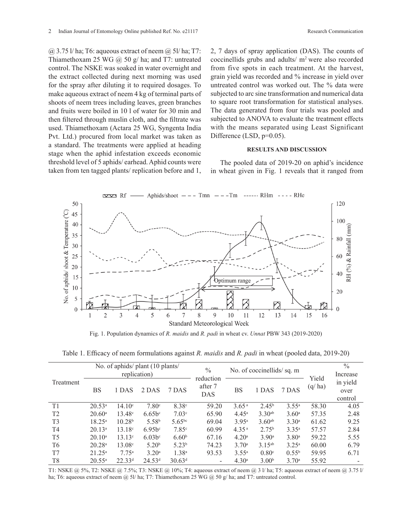$(a)$  3.75 l/ ha; T6: aqueous extract of neem  $(a)$  5l/ ha; T7: Thiamethoxam 25 WG  $\omega$  50 g/ ha; and T7: untreated control. The NSKE was soaked in water overnight and the extract collected during next morning was used for the spray after diluting it to required dosages. To make aqueous extract of neem 4 kg of terminal parts of shoots of neem trees including leaves, green branches and fruits were boiled in 10 l of water for 30 min and then filtered through muslin cloth, and the filtrate was used. Thiamethoxam (Actara 25 WG, Syngenta India Pvt. Ltd.) procured from local market was taken as a standard. The treatments were applied at heading stage when the aphid infestation exceeds economic threshold level of 5 aphids/ earhead. Aphid counts were taken from ten tagged plants/ replication before and 1,

2, 7 days of spray application (DAS). The counts of coccinellids grubs and adults/ m2 were also recorded from five spots in each treatment. At the harvest, grain yield was recorded and % increase in yield over untreated control was worked out. The % data were subjected to arc sine transformation and numerical data to square root transformation for statistical analyses. The data generated from four trials was pooled and subjected to ANOVA to evaluate the treatment effects with the means separated using Least Significant Difference (LSD,  $p=0.05$ ).

## **RESULTS AND DISCUSSION**

The pooled data of 2019-20 on aphid's incidence in wheat given in Fig. 1 reveals that it ranged from



Fig. 1. Population dynamics of *R. maidis* and *R. padi* in wheat cv. *Unnat* PBW 343 (2019-2020)

Table 1. Efficacy of neem formulations against *R. maidis* and *R. padi* in wheat (pooled data, 2019-20)

| Treatment      | No. of aphids/ plant (10 plants/<br>replication) |                    |                      |                    | $\frac{0}{0}$                      | No. of coccinellids/sq. m |                   |                   |                 | $\%$<br>Increase            |
|----------------|--------------------------------------------------|--------------------|----------------------|--------------------|------------------------------------|---------------------------|-------------------|-------------------|-----------------|-----------------------------|
|                | <b>BS</b>                                        | 1 DAS              | 2 DAS                | 7 DAS              | reduction<br>after 7<br><b>DAS</b> | BS                        | 1 DAS             | 7 DAS             | Yield<br>(q/ha) | in yield<br>over<br>control |
| T1             | $20.53^a$                                        | 14.10 <sup>c</sup> | 7.80 <sup>c</sup>    | 8.38 <sup>c</sup>  | 59.20                              | 3.65 <sup>a</sup>         | $2.45^{\rm b}$    | $3.55^{\rm a}$    | 58.30           | 4.05                        |
| T <sub>2</sub> | $20.60^{\circ}$                                  | $13.48^{\circ}$    | $6.65b^c$            | 7.03c              | 65.90                              | $4.45^{\rm a}$            | $3.30^{ab}$       | 3.60 <sup>a</sup> | 57.35           | 2.48                        |
| T <sub>3</sub> | $18.25^{\circ}$                                  | 10.28 <sup>b</sup> | 5.58 <sup>b</sup>    | $5.65^{bc}$        | 69.04                              | $3.95^{\rm a}$            | $3.60^{ab}$       | 3.30 <sup>a</sup> | 61.62           | 9.25                        |
| T <sub>4</sub> | $20.13^a$                                        | $13.18^{\circ}$    | $6.95b$ <sup>c</sup> | 7.85 <sup>c</sup>  | 60.99                              | 4.35 <sup>a</sup>         | $2.75^{\rm b}$    | $3.35^{a}$        | 57.57           | 2.84                        |
| T <sub>5</sub> | $20.10^a$                                        | $13.13^c$          | $6.03b$ c            | 6.60 <sup>b</sup>  | 67.16                              | 4.20 <sup>a</sup>         | 3.90 <sup>a</sup> | 3.80 <sup>a</sup> | 59.22           | 5.55                        |
| T <sub>6</sub> | 20.28 <sup>a</sup>                               | 13.08c             | 5.20 <sup>b</sup>    | 5.23 <sup>b</sup>  | 74.23                              | 3.70 <sup>a</sup>         | $3.15^{ab}$       | $3.25^{\rm a}$    | 60.00           | 6.79                        |
| T7             | $21.25^{\rm a}$                                  | 7.75 <sup>a</sup>  | 3.20 <sup>a</sup>    | 1.38 <sup>a</sup>  | 93.53                              | $3.55^{\circ}$            | 0.80 <sup>c</sup> | $0.55^{\rm b}$    | 59.95           | 6.71                        |
| T <sub>8</sub> | $20.55^{\circ}$                                  | $22.33^{d}$        | 24.53 <sup>d</sup>   | 30.63 <sup>d</sup> |                                    | 4.30 <sup>a</sup>         | 3.00 <sup>b</sup> | 3.70 <sup>a</sup> | 55.92           |                             |

T1: NSKE @ 5%, T2: NSKE @ 7.5%; T3: NSKE @ 10%; T4: aqueous extract of neem @ 3 l/ ha; T5: aqueous extract of neem @ 3.75 l/ ha; T6: aqueous extract of neem @ 5l/ ha; T7: Thiamethoxam 25 WG @ 50 g/ ha; and T7: untreated control.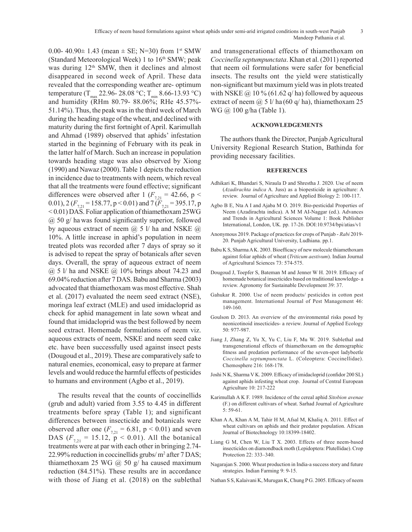0.00- 40.90 $\pm$  1.43 (mean  $\pm$  SE; N=30) from 1<sup>st</sup> SMW (Standard Meteorological Week) 1 to  $16<sup>th</sup>$  SMW; peak was during  $12<sup>th</sup>$  SMW, then it declines and almost disappeared in second week of April. These data revealed that the corresponding weather are- optimum temperature (T<sub>max</sub> 22.96- 28.08 °C; T<sub>min</sub> 8.66-13.93 °C) and humidity (RHm 80.79- 88.06%; RHe 45.57%- 51.14%). Thus, the peak was in the third week of March during the heading stage of the wheat, and declined with maturity during the first fortnight of April. Karimullah and Ahmad (1989) observed that aphids' infestation started in the beginning of February with its peak in the latter half of March. Such an increase in population towards heading stage was also observed by Xiong (1990) and Nawaz (2000). Table 1 depicts the reduction in incidence due to treatments with neem, which reveal that all the treatments were found effective; significant differences were observed after 1 ( $F_{7,21}$  = 42.66, p < 0.01), 2 ( $F_{721}$  = 158.77, p < 0.01) and 7 ( $F_{721}$  = 395.17, p < 0.01) DAS. Foliar application of thiamethoxam 25WG @ 50 g/ ha was found significantly superior, followed by aqueous extract of neem  $\omega$  5 l/ ha and NSKE  $\omega$ 10%. A little increase in aphid's population in neem treated plots was recorded after 7 days of spray so it is advised to repeat the spray of botanicals after seven days. Overall, the spray of aqueous extract of neem  $(a)$  5 l/ ha and NSKE  $(a)$  10% brings about 74.23 and 69.04% reduction after 7 DAS. Babu and Sharma (2003) advocated that thiamethoxam was most effective. Shah et al. (2017) evaluated the neem seed extract (NSE), moringa leaf extract (MLE) and used imidacloprid as check for aphid management in late sown wheat and found that imidacloprid was the best followed by neem seed extract. Homemade formulations of neem viz. aqueous extracts of neem, NSKE and neem seed cake etc. have been successfully used against insect pests (Dougoud et al., 2019). These are comparatively safe to natural enemies, economical, easy to prepare at farmer levels and would reduce the harmful effects of pesticides to humans and environment (Agbo et al., 2019).

The results reveal that the counts of coccinellids (grub and adult) varied from 3.55 to 4.45 in different treatments before spray (Table 1); and significant differences between insecticide and botanicals were observed after one  $(F_{721} = 6.81, p \le 0.01)$  and seven DAS  $(F_{7,21} = 15.12, p \le 0.01)$ . All the botanical treatments were at par with each other in bringing 2.74- 22.99% reduction in coccinellids grubs/ m2 after 7 DAS; thiamethoxam 25 WG  $\omega$  50 g/ ha caused maximum reduction (84.51%). These results are in accordance with those of Jiang et al. (2018) on the sublethal

and transgenerational effects of thiamethoxam on *Coccinella septumpunctata*. Khan et al. (2011) reported that neem oil formulations were safer for beneficial insects. The results ont the yield were statistically non-significant but maximum yield was in plots treated with NSKE  $\omega$  10 % (61.62 q/ha) followed by aqueous extract of neem  $\omega$  5 l/ ha (60 q/ ha), thiamethoxam 25 WG @ 100 g/ha (Table 1).

## **ACKNOWLEDGEMENTS**

The authors thank the Director, Punjab Agricultural University Regional Research Station, Bathinda for providing necessary facilities.

## **REFERENCES**

- Adhikari K, Bhandari S, Niraula D and Shrestha J. 2020. Use of neem (*Azadirachta indica* A. Juss) as a biopesticide in agriculture: A review. Journal of Agriculture and Applied Biology 2: 100-117.
- Agbo B E, Nta A I and Ajaba M O. 2019. Bio-pesticidal Properties of Neem (Azadirachta indica). A M M AI-Naggar (ed.). Advances and Trends in Agricultural Sciences Volume 1: Book Publisher International, London, UK. pp. 17-26. DOI:10.9734/bpi/atias/v1
- Anonymous 2019. Package of practices for crops of Punjab *Rabi* 2019- 20. Punjab Agricultural University, Ludhiana. pp.1.
- Babu K S, Sharma A K. 2003. Bioefficacy of new molecule thiamethoxam against foliar aphids of wheat (*Triticum aestivum*). Indian Journal of Agricultural Sciences 73: 574-575.
- Dougoud J, Toepfer S, Bateman M and Jenner W H. 2019. Efficacy of homemade botanical insecticides based on traditional knowledge- a review. Agronomy for Sustainable Development 39: 37.
- Gahukar R. 2000. Use of neem products/ pesticides in cotton pest management. International Journal of Pest Management 46: 149-160.
- Goulson D. 2013. An overview of the environmental risks posed by neonicotinoid insecticides- a review. Journal of Applied Ecology 50: 977-987.
- Jiang J, Zhang Z, Yu X, Yu C, Liu F, Mu W. 2019. Sublethal and transgenerational effects of thiamethoxam on the demographic fitness and predation performance of the seven-spot ladybeetle *Coccinella septumpunctata* L. (Coleoptera: Coccinellidae). Chemosphere 216: 168-178.
- Joshi N K, Sharma V K. 2009. Efficacy of imidacloprid (confidor 200 SL) against aphids infesting wheat crop. Journal of Central European Agriculture 10: 217-222
- Karimullah A K F. 1989. Incidence of the cereal aphid *Sitobion avenae*  (F.) on different cultivars of wheat. Sarhad Journal of Agriculture 5: 59-61.
- Khan A A, Khan A M, Tahir H M, Afsal M, Khaliq A. 2011. Effect of wheat cultivars on aphids and their predator population. African Journal of Biotechnology 10:18399-18402.
- Liang G M, Chen W, Liu T X. 2003. Effects of three neem-based insecticides on diamondback moth (Lepidoptera: Plutellidae). Crop Protection 22: 333–340.
- Nagarajan S. 2000. Wheat production in India-a success story and future strategies. Indian Farming 9: 9-15.
- Nathan S S, Kalaivani K, Murugan K, Chung P G. 2005. Efficacy of neem